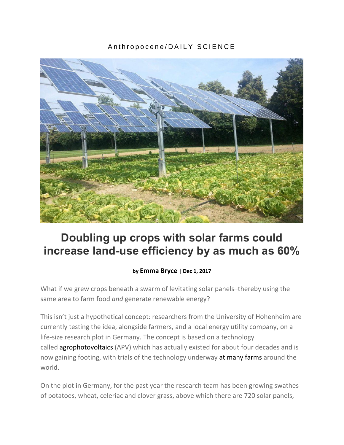## Anthropocene/DAILY SCIENCE



# **Doubling up crops with solar farms could increase land-use efficiency by as much as 60%**

## **by [Emma](http://www.anthropocenemagazine.org/author/emma-bryce/) Bryce | Dec 1, 2017**

What if we grew crops beneath a swarm of levitating solar panels–thereby using the same area to farm food *and* generate renewable energy?

This isn't just a hypothetical concept: researchers from the University of Hohenheim are currently testing the idea, alongside farmers, and a local energy utility company, on a life-size research plot in Germany. The concept is based on a technology called [agrophotovoltaics](http://www.agrophotovoltaik.de/) (APV) which has actually existed for about four decades and is now gaining footing, with trials of the technology underway at many [farms](http://www.agrophotovoltaik.de/weiterfuhrende-informationen/erfolgsgeschichten/) around the world.

On the plot in Germany, for the past year the research team has been growing swathes of potatoes, wheat, celeriac and clover grass, above which there are 720 solar panels,